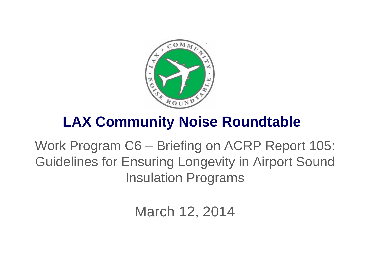

# **LAX Community Noise Roundtable**

Work Program C6 – Briefing on ACRP Report 105: Guidelines for Ensuring Longevity in Airport Sound Insulation Programs

March 12, 2014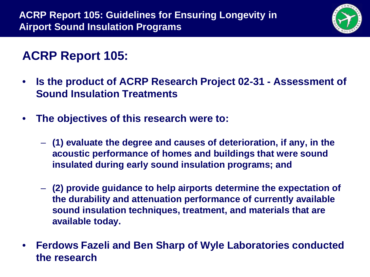

## **ACRP Report 105:**

- **Is the product of ACRP Research Project 02-31 - Assessment of Sound Insulation Treatments**
- **The objectives of this research were to:**
	- **(1) evaluate the degree and causes of deterioration, if any, in the acoustic performance of homes and buildings that were sound insulated during early sound insulation programs; and**
	- **(2) provide guidance to help airports determine the expectation of the durability and attenuation performance of currently available sound insulation techniques, treatment, and materials that are available today.**
- **Ferdows Fazeli and Ben Sharp of Wyle Laboratories conducted the research**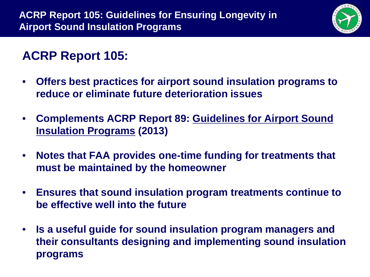

## **ACRP Report 105:**

- **Offers best practices for airport sound insulation programs to reduce or eliminate future deterioration issues**
- **Complements ACRP Report 89: Guidelines for Airport Sound Insulation Programs (2013)**
- **Notes that FAA provides one-time funding for treatments that must be maintained by the homeowner**
- **Ensures that sound insulation program treatments continue to be effective well into the future**
- **Is a useful guide for sound insulation program managers and their consultants designing and implementing sound insulation programs**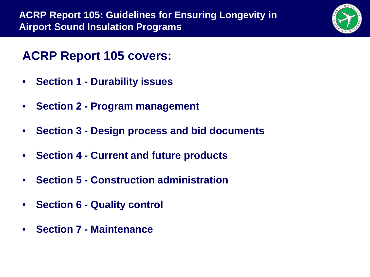

### **ACRP Report 105 covers:**

- **Section 1 - Durability issues**
- **Section 2 - Program management**
- **Section 3 - Design process and bid documents**
- **Section 4 - Current and future products**
- **Section 5 - Construction administration**
- **Section 6 - Quality control**
- **Section 7 - Maintenance**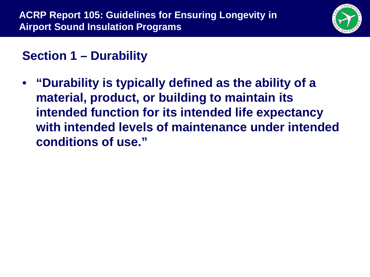

## **Section 1 – Durability**

• **"Durability is typically defined as the ability of a material, product, or building to maintain its intended function for its intended life expectancy with intended levels of maintenance under intended conditions of use."**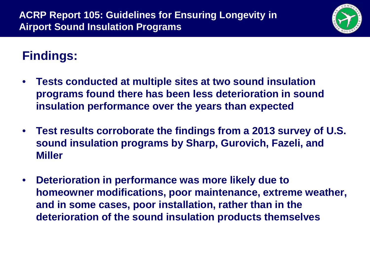

## **Findings:**

- **Tests conducted at multiple sites at two sound insulation programs found there has been less deterioration in sound insulation performance over the years than expected**
- **Test results corroborate the findings from a 2013 survey of U.S. sound insulation programs by Sharp, Gurovich, Fazeli, and Miller**
- **Deterioration in performance was more likely due to homeowner modifications, poor maintenance, extreme weather, and in some cases, poor installation, rather than in the deterioration of the sound insulation products themselves**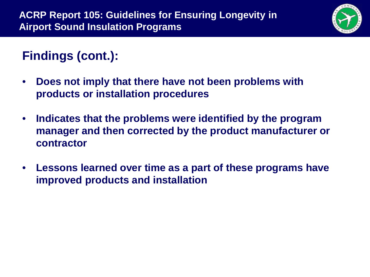

## **Findings (cont.):**

- **Does not imply that there have not been problems with products or installation procedures**
- **Indicates that the problems were identified by the program manager and then corrected by the product manufacturer or contractor**
- **Lessons learned over time as a part of these programs have improved products and installation**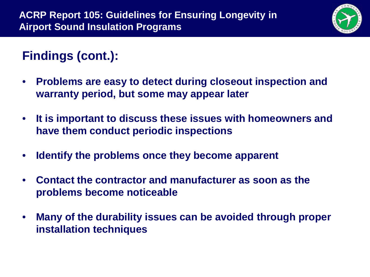

## **Findings (cont.):**

- **Problems are easy to detect during closeout inspection and warranty period, but some may appear later**
- **It is important to discuss these issues with homeowners and have them conduct periodic inspections**
- **Identify the problems once they become apparent**
- **Contact the contractor and manufacturer as soon as the problems become noticeable**
- **Many of the durability issues can be avoided through proper installation techniques**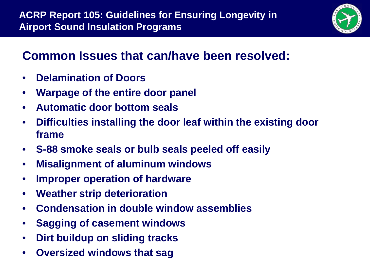

### **Common Issues that can/have been resolved:**

- **Delamination of Doors**
- **Warpage of the entire door panel**
- **Automatic door bottom seals**
- **Difficulties installing the door leaf within the existing door frame**
- **S-88 smoke seals or bulb seals peeled off easily**
- **Misalignment of aluminum windows**
- **Improper operation of hardware**
- **Weather strip deterioration**
- **Condensation in double window assemblies**
- **Sagging of casement windows**
- **Dirt buildup on sliding tracks**
- **Oversized windows that sag**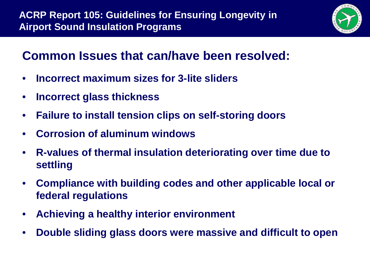

### **Common Issues that can/have been resolved:**

- **Incorrect maximum sizes for 3-lite sliders**
- **Incorrect glass thickness**
- **Failure to install tension clips on self-storing doors**
- **Corrosion of aluminum windows**
- **R-values of thermal insulation deteriorating over time due to settling**
- **Compliance with building codes and other applicable local or federal regulations**
- **Achieving a healthy interior environment**
- **Double sliding glass doors were massive and difficult to open**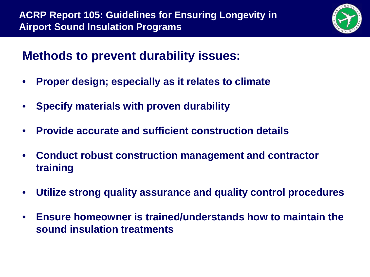

#### **Methods to prevent durability issues:**

- **Proper design; especially as it relates to climate**
- **Specify materials with proven durability**
- **Provide accurate and sufficient construction details**
- **Conduct robust construction management and contractor training**
- **Utilize strong quality assurance and quality control procedures**
- **Ensure homeowner is trained/understands how to maintain the sound insulation treatments**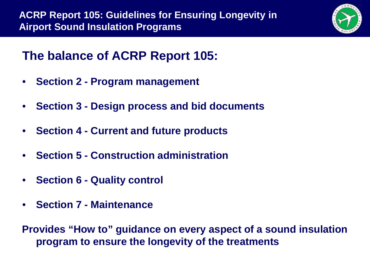

## **The balance of ACRP Report 105:**

- **Section 2 - Program management**
- **Section 3 - Design process and bid documents**
- **Section 4 - Current and future products**
- **Section 5 - Construction administration**
- **Section 6 - Quality control**
- **Section 7 - Maintenance**

**Provides "How to" guidance on every aspect of a sound insulation program to ensure the longevity of the treatments**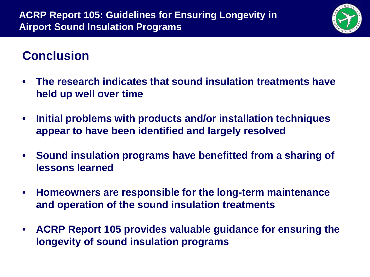

### **Conclusion**

- **The research indicates that sound insulation treatments have held up well over time**
- **Initial problems with products and/or installation techniques appear to have been identified and largely resolved**
- **Sound insulation programs have benefitted from a sharing of lessons learned**
- **Homeowners are responsible for the long-term maintenance and operation of the sound insulation treatments**
- **ACRP Report 105 provides valuable guidance for ensuring the longevity of sound insulation programs**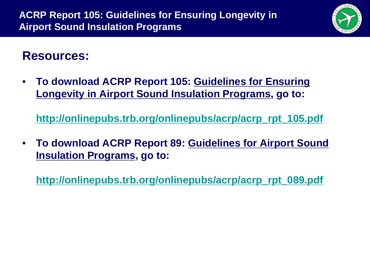

#### **Resources:**

• **To download ACRP Report 105: Guidelines for Ensuring Longevity in Airport Sound Insulation Programs, go to:**

**[http://onlinepubs.trb.org/onlinepubs/acrp/acrp\\_rpt\\_105.pdf](http://onlinepubs.trb.org/onlinepubs/acrp/acrp_rpt_105.pdf)**

• **To download ACRP Report 89: Guidelines for Airport Sound Insulation Programs, go to:**

**[http://onlinepubs.trb.org/onlinepubs/acrp/acrp\\_rpt\\_089.pdf](http://onlinepubs.trb.org/onlinepubs/acrp/acrp_rpt_089.pdf)**